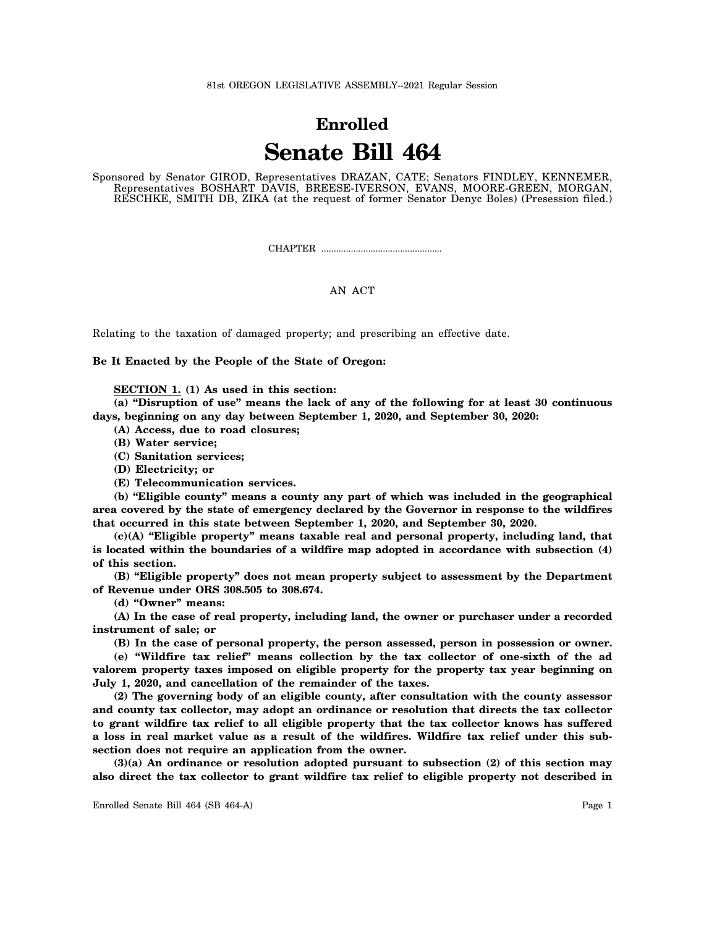81st OREGON LEGISLATIVE ASSEMBLY--2021 Regular Session

## **Enrolled Senate Bill 464**

Sponsored by Senator GIROD, Representatives DRAZAN, CATE; Senators FINDLEY, KENNEMER, Representatives BOSHART DAVIS, BREESE-IVERSON, EVANS, MOORE-GREEN, MORGAN, RESCHKE, SMITH DB, ZIKA (at the request of former Senator Denyc Boles) (Presession filed.)

CHAPTER .................................................

## AN ACT

Relating to the taxation of damaged property; and prescribing an effective date.

**Be It Enacted by the People of the State of Oregon:**

**SECTION 1. (1) As used in this section:**

**(a) "Disruption of use" means the lack of any of the following for at least 30 continuous days, beginning on any day between September 1, 2020, and September 30, 2020:**

**(A) Access, due to road closures;**

- **(B) Water service;**
- **(C) Sanitation services;**

**(D) Electricity; or**

**(E) Telecommunication services.**

**(b) "Eligible county" means a county any part of which was included in the geographical area covered by the state of emergency declared by the Governor in response to the wildfires that occurred in this state between September 1, 2020, and September 30, 2020.**

**(c)(A) "Eligible property" means taxable real and personal property, including land, that is located within the boundaries of a wildfire map adopted in accordance with subsection (4) of this section.**

**(B) "Eligible property" does not mean property subject to assessment by the Department of Revenue under ORS 308.505 to 308.674.**

**(d) "Owner" means:**

**(A) In the case of real property, including land, the owner or purchaser under a recorded instrument of sale; or**

**(B) In the case of personal property, the person assessed, person in possession or owner.**

**(e) "Wildfire tax relief" means collection by the tax collector of one-sixth of the ad valorem property taxes imposed on eligible property for the property tax year beginning on July 1, 2020, and cancellation of the remainder of the taxes.**

**(2) The governing body of an eligible county, after consultation with the county assessor and county tax collector, may adopt an ordinance or resolution that directs the tax collector to grant wildfire tax relief to all eligible property that the tax collector knows has suffered a loss in real market value as a result of the wildfires. Wildfire tax relief under this subsection does not require an application from the owner.**

**(3)(a) An ordinance or resolution adopted pursuant to subsection (2) of this section may also direct the tax collector to grant wildfire tax relief to eligible property not described in**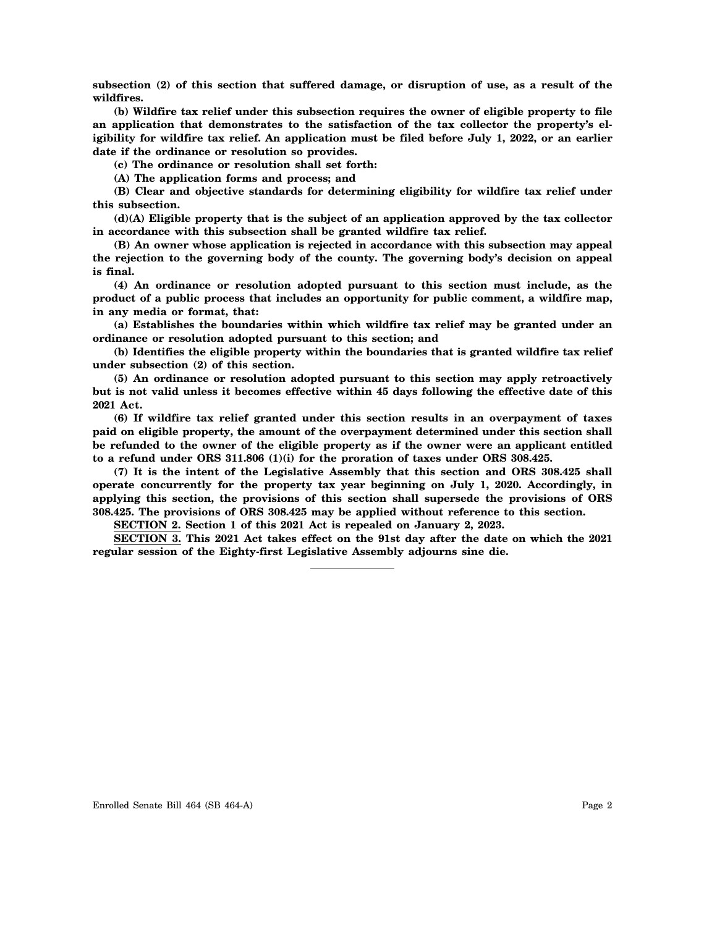**subsection (2) of this section that suffered damage, or disruption of use, as a result of the wildfires.**

**(b) Wildfire tax relief under this subsection requires the owner of eligible property to file an application that demonstrates to the satisfaction of the tax collector the property's eligibility for wildfire tax relief. An application must be filed before July 1, 2022, or an earlier date if the ordinance or resolution so provides.**

**(c) The ordinance or resolution shall set forth:**

**(A) The application forms and process; and**

**(B) Clear and objective standards for determining eligibility for wildfire tax relief under this subsection.**

**(d)(A) Eligible property that is the subject of an application approved by the tax collector in accordance with this subsection shall be granted wildfire tax relief.**

**(B) An owner whose application is rejected in accordance with this subsection may appeal the rejection to the governing body of the county. The governing body's decision on appeal is final.**

**(4) An ordinance or resolution adopted pursuant to this section must include, as the product of a public process that includes an opportunity for public comment, a wildfire map, in any media or format, that:**

**(a) Establishes the boundaries within which wildfire tax relief may be granted under an ordinance or resolution adopted pursuant to this section; and**

**(b) Identifies the eligible property within the boundaries that is granted wildfire tax relief under subsection (2) of this section.**

**(5) An ordinance or resolution adopted pursuant to this section may apply retroactively but is not valid unless it becomes effective within 45 days following the effective date of this 2021 Act.**

**(6) If wildfire tax relief granted under this section results in an overpayment of taxes paid on eligible property, the amount of the overpayment determined under this section shall be refunded to the owner of the eligible property as if the owner were an applicant entitled to a refund under ORS 311.806 (1)(i) for the proration of taxes under ORS 308.425.**

**(7) It is the intent of the Legislative Assembly that this section and ORS 308.425 shall operate concurrently for the property tax year beginning on July 1, 2020. Accordingly, in applying this section, the provisions of this section shall supersede the provisions of ORS 308.425. The provisions of ORS 308.425 may be applied without reference to this section.**

**SECTION 2. Section 1 of this 2021 Act is repealed on January 2, 2023.**

**SECTION 3. This 2021 Act takes effect on the 91st day after the date on which the 2021 regular session of the Eighty-first Legislative Assembly adjourns sine die.**